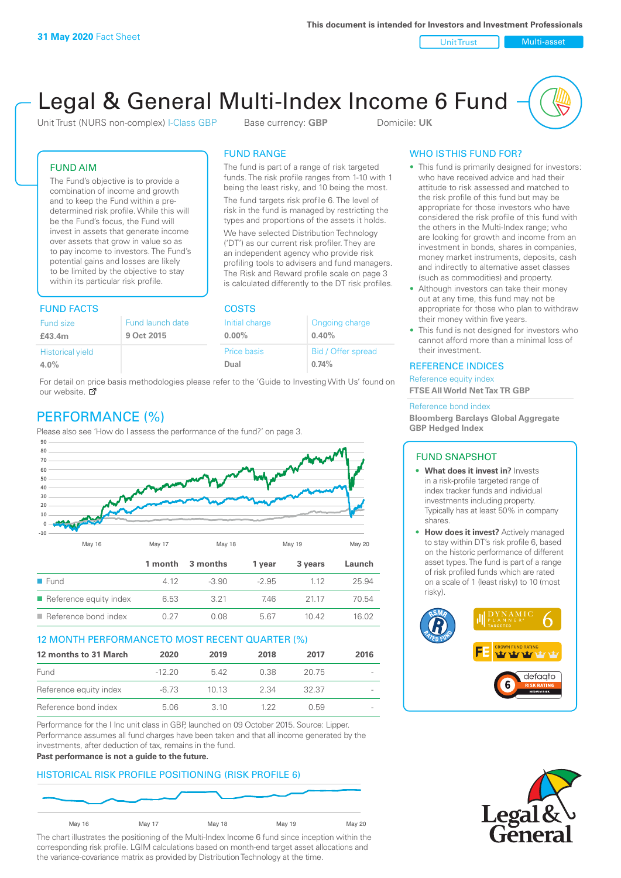Unit Trust Nulti-asset

# Legal & General Multi-Index Income 6 Fund

Unit Trust (NURS non-complex) I-Class GBP Base currency: **GBP** Domicile: UK

The fund is part of a range of risk targeted funds. The risk profile ranges from 1-10 with 1 being the least risky, and 10 being the most. The fund targets risk profile 6. The level of risk in the fund is managed by restricting the types and proportions of the assets it holds. We have selected Distribution Technology ('DT') as our current risk profiler. They are an independent agency who provide risk profiling tools to advisers and fund managers. The Risk and Reward profile scale on page 3 is calculated differently to the DT risk profiles.

FUND RANGE

FUND AIM

The Fund's objective is to provide a combination of income and growth and to keep the Fund within a predetermined risk profile. While this will be the Fund's focus, the Fund will invest in assets that generate income over assets that grow in value so as to pay income to investors. The Fund's potential gains and losses are likely to be limited by the objective to stay within its particular risk profile.

### FUND FACTS COSTS

| Fund size               | Fund launch date | Initial charge | Ongoing charge     |  |
|-------------------------|------------------|----------------|--------------------|--|
| £43.4m                  | 9 Oct 2015       | $0.00\%$       | 0.40%              |  |
| <b>Historical yield</b> |                  | Price basis    | Bid / Offer spread |  |
| 4.0%                    |                  | Dual           | 0.74%              |  |

For detail on price basis methodologies please refer to the 'Guide to Investing With Us' found on our website.  $\sigma$ 

# PERFORMANCE (%)

Please also see 'How do I assess the performance of the fund?' on page 3.



### 12 MONTH PERFORMANCE TO MOST RECENT QUARTER (%)

| 12 months to 31 March  | 2020     | 2019 | 2018 | 2017  | 2016   |
|------------------------|----------|------|------|-------|--------|
| Fund                   | $-12.20$ | 542  | 0.38 | 20.75 | $\sim$ |
| Reference equity index | -6.73    | 1013 | 2.34 | 32.37 | $\sim$ |
| Reference bond index   | 5.06     | 3.10 | 1 22 | 0.59  |        |

Performance for the I Inc unit class in GBP, launched on 09 October 2015. Source: Lipper. Performance assumes all fund charges have been taken and that all income generated by the investments, after deduction of tax, remains in the fund.

### **Past performance is not a guide to the future.**

### HISTORICAL RISK PROFILE POSITIONING (RISK PROFILE 6)



The chart illustrates the positioning of the Multi-Index Income 6 fund since inception within the corresponding risk profile. LGIM calculations based on month-end target asset allocations and the variance-covariance matrix as provided by Distribution Technology at the time.

### WHO IS THIS FUND FOR?

- This fund is primarily designed for investors: who have received advice and had their attitude to risk assessed and matched to the risk profile of this fund but may be appropriate for those investors who have considered the risk profile of this fund with the others in the Multi-Index range; who are looking for growth and income from an investment in bonds, shares in companies, money market instruments, deposits, cash and indirectly to alternative asset classes (such as commodities) and property.
- Although investors can take their money out at any time, this fund may not be appropriate for those who plan to withdraw their money within five years.
- This fund is not designed for investors who cannot afford more than a minimal loss of their investment.

### REFERENCE INDICES

Reference equity index **FTSE All World Net Tax TR GBP**

#### Reference bond index

**Bloomberg Barclays Global Aggregate GBP Hedged Index**

### FUND SNAPSHOT

- **• What does it invest in?** Invests in a risk-profile targeted range of index tracker funds and individual investments including property. Typically has at least 50% in company shares.
- **• How does it invest?** Actively managed to stay within DT's risk profile 6, based on the historic performance of different asset types. The fund is part of a range of risk profiled funds which are rated on a scale of 1 (least risky) to 10 (most risky).



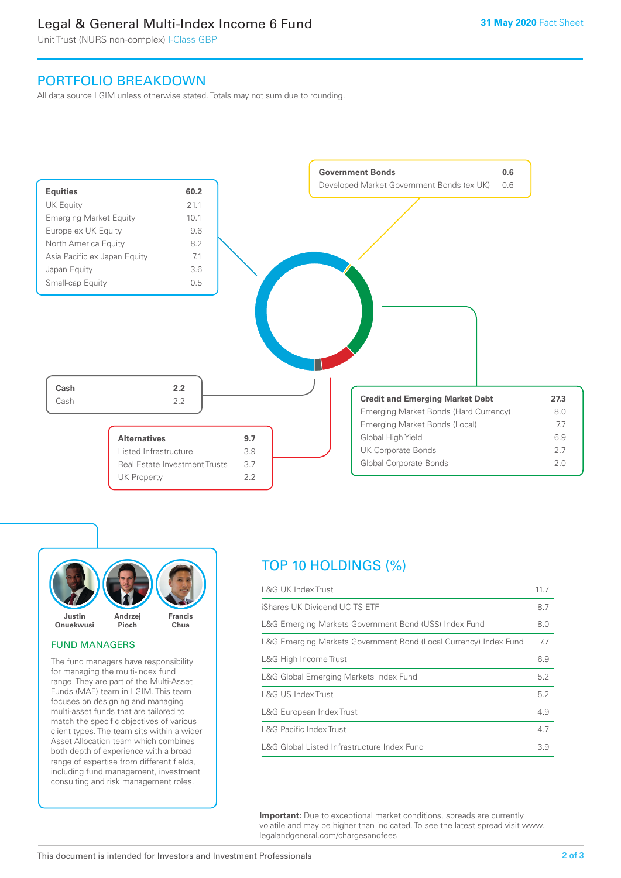### Legal & General Multi-Index Income 6 Fund

Unit Trust (NURS non-complex) I-Class GBP

### PORTFOLIO BREAKDOWN

All data source LGIM unless otherwise stated. Totals may not sum due to rounding.





### FUND MANAGERS

The fund managers have responsibility for managing the multi-index fund range. They are part of the Multi-Asset Funds (MAF) team in LGIM. This team focuses on designing and managing multi-asset funds that are tailored to match the specific objectives of various client types. The team sits within a wider Asset Allocation team which combines both depth of experience with a broad range of expertise from different fields, including fund management, investment consulting and risk management roles.

# TOP 10 HOLDINGS (%)

| <b>L&amp;G UK Index Trust</b>                                    | 117 |
|------------------------------------------------------------------|-----|
| iShares UK Dividend UCITS ETF                                    | 8.7 |
| L&G Emerging Markets Government Bond (US\$) Index Fund           | 8.0 |
| L&G Emerging Markets Government Bond (Local Currency) Index Fund | 7.7 |
| L&G High Income Trust                                            | 6.9 |
| L&G Global Emerging Markets Index Fund                           | 5.2 |
| L&G US Index Trust                                               | 5.2 |
| L&G European Index Trust                                         | 4.9 |
| <b>L&amp;G Pacific Index Trust</b>                               | 4.7 |
| L&G Global Listed Infrastructure Index Fund                      | 3.9 |

**Important:** Due to exceptional market conditions, spreads are currently volatile and may be higher than indicated. To see the latest spread visit www. legalandgeneral.com/chargesandfees